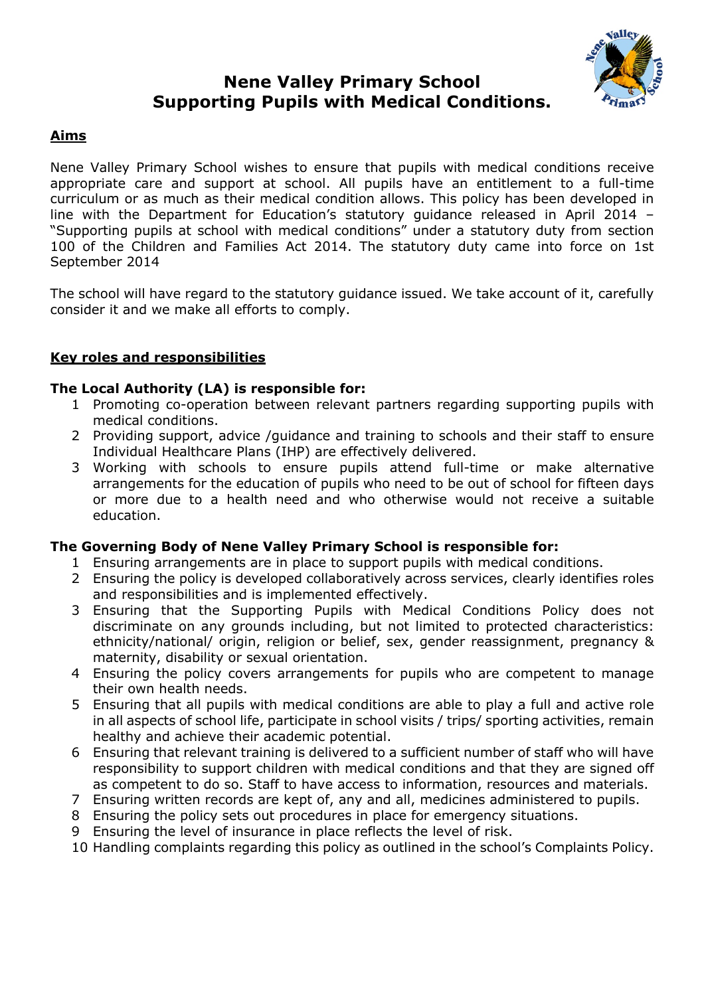# **Nene Valley Primary School Supporting Pupils with Medical Conditions.**



# **Aims**

Nene Valley Primary School wishes to ensure that pupils with medical conditions receive appropriate care and support at school. All pupils have an entitlement to a full-time curriculum or as much as their medical condition allows. This policy has been developed in line with the Department for Education's statutory guidance released in April 2014 – "Supporting pupils at school with medical conditions" under a statutory duty from section 100 of the Children and Families Act 2014. The statutory duty came into force on 1st September 2014

The school will have regard to the statutory guidance issued. We take account of it, carefully consider it and we make all efforts to comply.

# **Key roles and responsibilities**

## **The Local Authority (LA) is responsible for:**

- 1 Promoting co-operation between relevant partners regarding supporting pupils with medical conditions.
- 2 Providing support, advice /guidance and training to schools and their staff to ensure Individual Healthcare Plans (IHP) are effectively delivered.
- 3 Working with schools to ensure pupils attend full-time or make alternative arrangements for the education of pupils who need to be out of school for fifteen days or more due to a health need and who otherwise would not receive a suitable education.

## **The Governing Body of Nene Valley Primary School is responsible for:**

- 1 Ensuring arrangements are in place to support pupils with medical conditions.
- 2 Ensuring the policy is developed collaboratively across services, clearly identifies roles and responsibilities and is implemented effectively.
- 3 Ensuring that the Supporting Pupils with Medical Conditions Policy does not discriminate on any grounds including, but not limited to protected characteristics: ethnicity/national/ origin, religion or belief, sex, gender reassignment, pregnancy & maternity, disability or sexual orientation.
- 4 Ensuring the policy covers arrangements for pupils who are competent to manage their own health needs.
- 5 Ensuring that all pupils with medical conditions are able to play a full and active role in all aspects of school life, participate in school visits / trips/ sporting activities, remain healthy and achieve their academic potential.
- 6 Ensuring that relevant training is delivered to a sufficient number of staff who will have responsibility to support children with medical conditions and that they are signed off as competent to do so. Staff to have access to information, resources and materials.
- 7 Ensuring written records are kept of, any and all, medicines administered to pupils.
- 8 Ensuring the policy sets out procedures in place for emergency situations.
- 9 Ensuring the level of insurance in place reflects the level of risk.
- 10 Handling complaints regarding this policy as outlined in the school's Complaints Policy.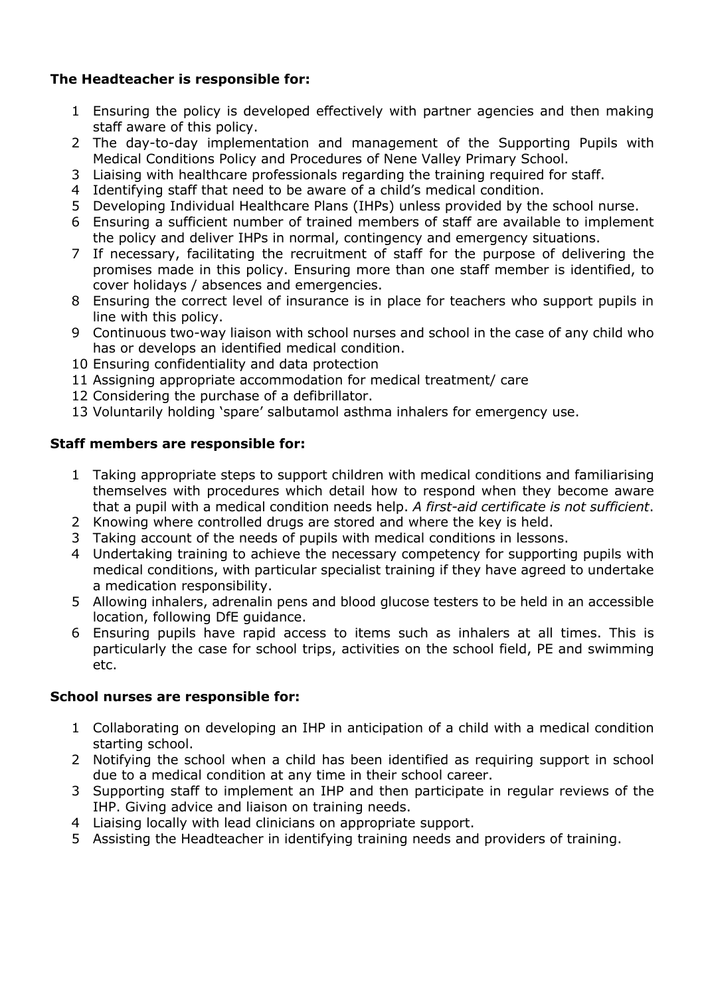# **The Headteacher is responsible for:**

- 1 Ensuring the policy is developed effectively with partner agencies and then making staff aware of this policy.
- 2 The day-to-day implementation and management of the Supporting Pupils with Medical Conditions Policy and Procedures of Nene Valley Primary School.
- 3 Liaising with healthcare professionals regarding the training required for staff.
- 4 Identifying staff that need to be aware of a child's medical condition.
- 5 Developing Individual Healthcare Plans (IHPs) unless provided by the school nurse.
- 6 Ensuring a sufficient number of trained members of staff are available to implement the policy and deliver IHPs in normal, contingency and emergency situations.
- 7 If necessary, facilitating the recruitment of staff for the purpose of delivering the promises made in this policy. Ensuring more than one staff member is identified, to cover holidays / absences and emergencies.
- 8 Ensuring the correct level of insurance is in place for teachers who support pupils in line with this policy.
- 9 Continuous two-way liaison with school nurses and school in the case of any child who has or develops an identified medical condition.
- 10 Ensuring confidentiality and data protection
- 11 Assigning appropriate accommodation for medical treatment/ care
- 12 Considering the purchase of a defibrillator.
- 13 Voluntarily holding 'spare' salbutamol asthma inhalers for emergency use.

# **Staff members are responsible for:**

- 1 Taking appropriate steps to support children with medical conditions and familiarising themselves with procedures which detail how to respond when they become aware that a pupil with a medical condition needs help. *A first-aid certificate is not sufficient*.
- 2 Knowing where controlled drugs are stored and where the key is held.
- 3 Taking account of the needs of pupils with medical conditions in lessons.
- 4 Undertaking training to achieve the necessary competency for supporting pupils with medical conditions, with particular specialist training if they have agreed to undertake a medication responsibility.
- 5 Allowing inhalers, adrenalin pens and blood glucose testers to be held in an accessible location, following DfE guidance.
- 6 Ensuring pupils have rapid access to items such as inhalers at all times. This is particularly the case for school trips, activities on the school field, PE and swimming etc.

## **School nurses are responsible for:**

- 1 Collaborating on developing an IHP in anticipation of a child with a medical condition starting school.
- 2 Notifying the school when a child has been identified as requiring support in school due to a medical condition at any time in their school career.
- 3 Supporting staff to implement an IHP and then participate in regular reviews of the IHP. Giving advice and liaison on training needs.
- 4 Liaising locally with lead clinicians on appropriate support.
- 5 Assisting the Headteacher in identifying training needs and providers of training.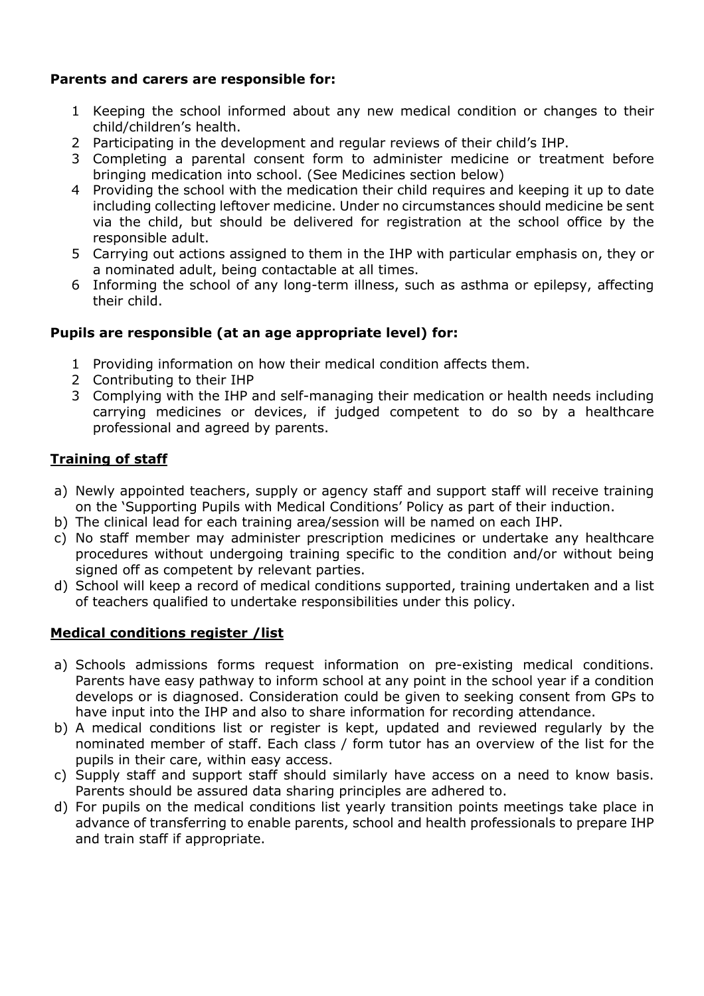# **Parents and carers are responsible for:**

- 1 Keeping the school informed about any new medical condition or changes to their child/children's health.
- 2 Participating in the development and regular reviews of their child's IHP.
- 3 Completing a parental consent form to administer medicine or treatment before bringing medication into school. (See Medicines section below)
- 4 Providing the school with the medication their child requires and keeping it up to date including collecting leftover medicine. Under no circumstances should medicine be sent via the child, but should be delivered for registration at the school office by the responsible adult.
- 5 Carrying out actions assigned to them in the IHP with particular emphasis on, they or a nominated adult, being contactable at all times.
- 6 Informing the school of any long-term illness, such as asthma or epilepsy, affecting their child.

# **Pupils are responsible (at an age appropriate level) for:**

- 1 Providing information on how their medical condition affects them.
- 2 Contributing to their IHP
- 3 Complying with the IHP and self-managing their medication or health needs including carrying medicines or devices, if judged competent to do so by a healthcare professional and agreed by parents.

# **Training of staff**

- a) Newly appointed teachers, supply or agency staff and support staff will receive training on the 'Supporting Pupils with Medical Conditions' Policy as part of their induction.
- b) The clinical lead for each training area/session will be named on each IHP.
- c) No staff member may administer prescription medicines or undertake any healthcare procedures without undergoing training specific to the condition and/or without being signed off as competent by relevant parties.
- d) School will keep a record of medical conditions supported, training undertaken and a list of teachers qualified to undertake responsibilities under this policy.

## **Medical conditions register /list**

- a) Schools admissions forms request information on pre-existing medical conditions. Parents have easy pathway to inform school at any point in the school year if a condition develops or is diagnosed. Consideration could be given to seeking consent from GPs to have input into the IHP and also to share information for recording attendance.
- b) A medical conditions list or register is kept, updated and reviewed regularly by the nominated member of staff. Each class / form tutor has an overview of the list for the pupils in their care, within easy access.
- c) Supply staff and support staff should similarly have access on a need to know basis. Parents should be assured data sharing principles are adhered to.
- d) For pupils on the medical conditions list yearly transition points meetings take place in advance of transferring to enable parents, school and health professionals to prepare IHP and train staff if appropriate.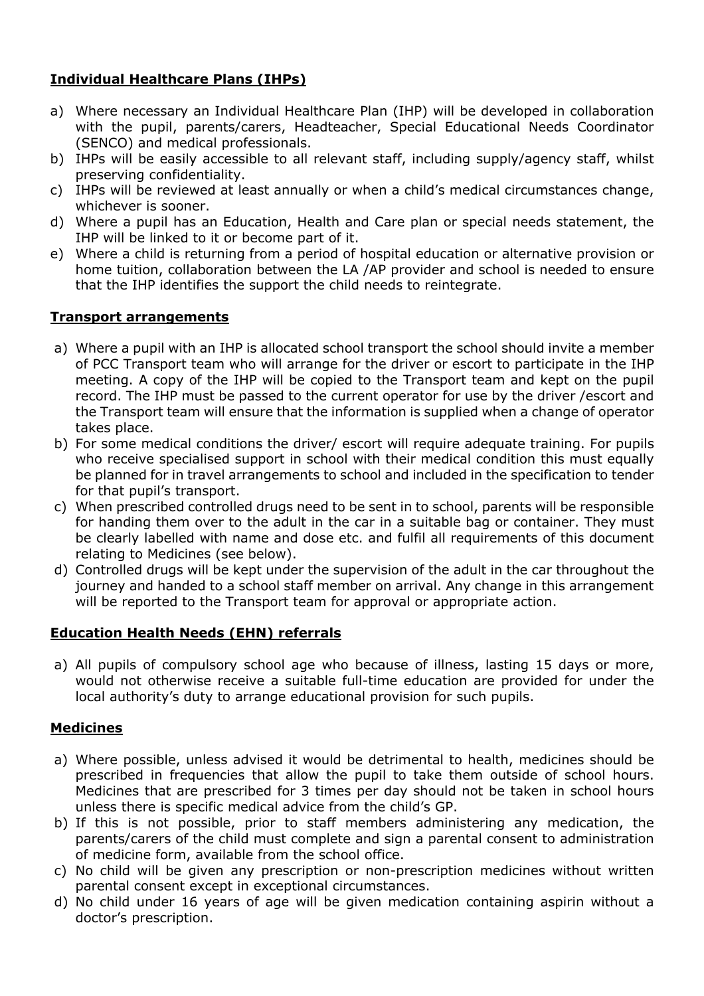# **Individual Healthcare Plans (IHPs)**

- a) Where necessary an Individual Healthcare Plan (IHP) will be developed in collaboration with the pupil, parents/carers, Headteacher, Special Educational Needs Coordinator (SENCO) and medical professionals.
- b) IHPs will be easily accessible to all relevant staff, including supply/agency staff, whilst preserving confidentiality.
- c) IHPs will be reviewed at least annually or when a child's medical circumstances change, whichever is sooner.
- d) Where a pupil has an Education, Health and Care plan or special needs statement, the IHP will be linked to it or become part of it.
- e) Where a child is returning from a period of hospital education or alternative provision or home tuition, collaboration between the LA /AP provider and school is needed to ensure that the IHP identifies the support the child needs to reintegrate.

# **Transport arrangements**

- a) Where a pupil with an IHP is allocated school transport the school should invite a member of PCC Transport team who will arrange for the driver or escort to participate in the IHP meeting. A copy of the IHP will be copied to the Transport team and kept on the pupil record. The IHP must be passed to the current operator for use by the driver /escort and the Transport team will ensure that the information is supplied when a change of operator takes place.
- b) For some medical conditions the driver/ escort will require adequate training. For pupils who receive specialised support in school with their medical condition this must equally be planned for in travel arrangements to school and included in the specification to tender for that pupil's transport.
- c) When prescribed controlled drugs need to be sent in to school, parents will be responsible for handing them over to the adult in the car in a suitable bag or container. They must be clearly labelled with name and dose etc. and fulfil all requirements of this document relating to Medicines (see below).
- d) Controlled drugs will be kept under the supervision of the adult in the car throughout the journey and handed to a school staff member on arrival. Any change in this arrangement will be reported to the Transport team for approval or appropriate action.

# **Education Health Needs (EHN) referrals**

a) All pupils of compulsory school age who because of illness, lasting 15 days or more, would not otherwise receive a suitable full-time education are provided for under the local authority's duty to arrange educational provision for such pupils.

# **Medicines**

- a) Where possible, unless advised it would be detrimental to health, medicines should be prescribed in frequencies that allow the pupil to take them outside of school hours. Medicines that are prescribed for 3 times per day should not be taken in school hours unless there is specific medical advice from the child's GP.
- b) If this is not possible, prior to staff members administering any medication, the parents/carers of the child must complete and sign a parental consent to administration of medicine form, available from the school office.
- c) No child will be given any prescription or non-prescription medicines without written parental consent except in exceptional circumstances.
- d) No child under 16 years of age will be given medication containing aspirin without a doctor's prescription.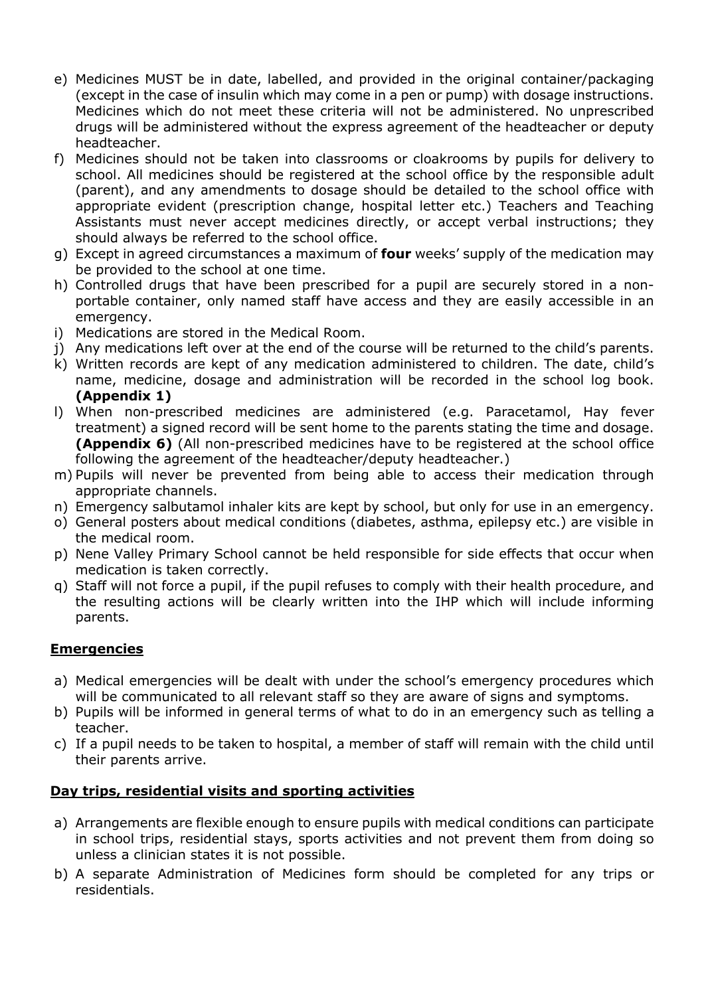- e) Medicines MUST be in date, labelled, and provided in the original container/packaging (except in the case of insulin which may come in a pen or pump) with dosage instructions. Medicines which do not meet these criteria will not be administered. No unprescribed drugs will be administered without the express agreement of the headteacher or deputy headteacher.
- f) Medicines should not be taken into classrooms or cloakrooms by pupils for delivery to school. All medicines should be registered at the school office by the responsible adult (parent), and any amendments to dosage should be detailed to the school office with appropriate evident (prescription change, hospital letter etc.) Teachers and Teaching Assistants must never accept medicines directly, or accept verbal instructions; they should always be referred to the school office.
- g) Except in agreed circumstances a maximum of **four** weeks' supply of the medication may be provided to the school at one time.
- h) Controlled drugs that have been prescribed for a pupil are securely stored in a nonportable container, only named staff have access and they are easily accessible in an emergency.
- i) Medications are stored in the Medical Room.
- j) Any medications left over at the end of the course will be returned to the child's parents.
- k) Written records are kept of any medication administered to children. The date, child's name, medicine, dosage and administration will be recorded in the school log book. **(Appendix 1)**
- l) When non-prescribed medicines are administered (e.g. Paracetamol, Hay fever treatment) a signed record will be sent home to the parents stating the time and dosage. **(Appendix 6)** (All non-prescribed medicines have to be registered at the school office following the agreement of the headteacher/deputy headteacher.)
- m) Pupils will never be prevented from being able to access their medication through appropriate channels.
- n) Emergency salbutamol inhaler kits are kept by school, but only for use in an emergency.
- o) General posters about medical conditions (diabetes, asthma, epilepsy etc.) are visible in the medical room.
- p) Nene Valley Primary School cannot be held responsible for side effects that occur when medication is taken correctly.
- q) Staff will not force a pupil, if the pupil refuses to comply with their health procedure, and the resulting actions will be clearly written into the IHP which will include informing parents.

## **Emergencies**

- a) Medical emergencies will be dealt with under the school's emergency procedures which will be communicated to all relevant staff so they are aware of signs and symptoms.
- b) Pupils will be informed in general terms of what to do in an emergency such as telling a teacher.
- c) If a pupil needs to be taken to hospital, a member of staff will remain with the child until their parents arrive.

#### **Day trips, residential visits and sporting activities**

- a) Arrangements are flexible enough to ensure pupils with medical conditions can participate in school trips, residential stays, sports activities and not prevent them from doing so unless a clinician states it is not possible.
- b) A separate Administration of Medicines form should be completed for any trips or residentials.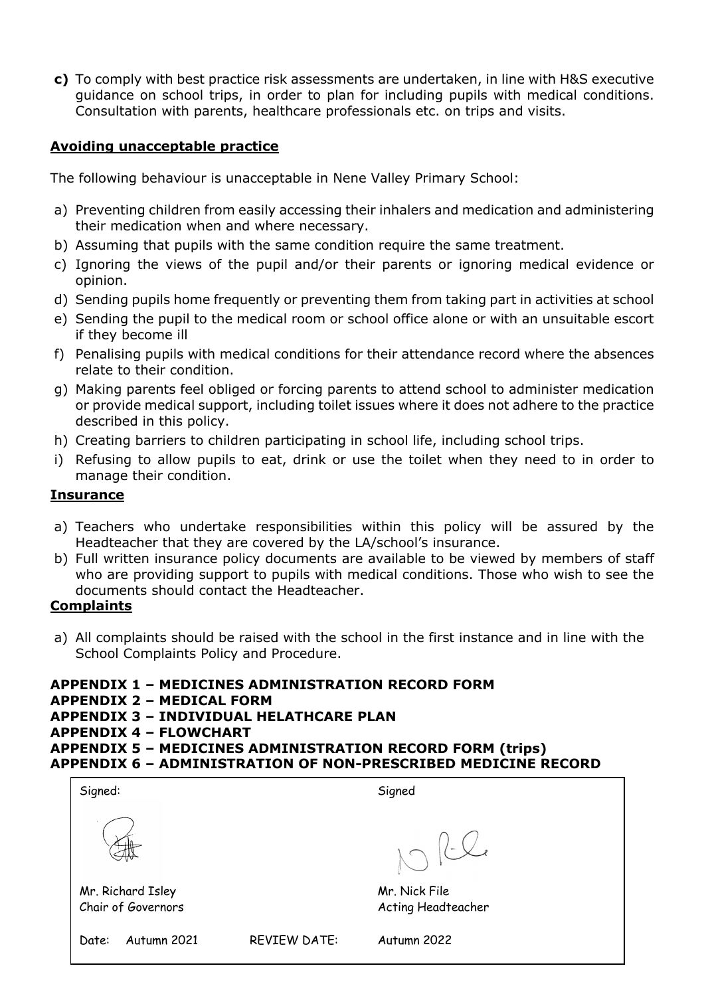**c)** To comply with best practice risk assessments are undertaken, in line with H&S executive guidance on school trips, in order to plan for including pupils with medical conditions. Consultation with parents, healthcare professionals etc. on trips and visits.

### **Avoiding unacceptable practice**

The following behaviour is unacceptable in Nene Valley Primary School:

- a) Preventing children from easily accessing their inhalers and medication and administering their medication when and where necessary.
- b) Assuming that pupils with the same condition require the same treatment.
- c) Ignoring the views of the pupil and/or their parents or ignoring medical evidence or opinion.
- d) Sending pupils home frequently or preventing them from taking part in activities at school
- e) Sending the pupil to the medical room or school office alone or with an unsuitable escort if they become ill
- f) Penalising pupils with medical conditions for their attendance record where the absences relate to their condition.
- g) Making parents feel obliged or forcing parents to attend school to administer medication or provide medical support, including toilet issues where it does not adhere to the practice described in this policy.
- h) Creating barriers to children participating in school life, including school trips.
- i) Refusing to allow pupils to eat, drink or use the toilet when they need to in order to manage their condition.

### **Insurance**

- a) Teachers who undertake responsibilities within this policy will be assured by the Headteacher that they are covered by the LA/school's insurance.
- b) Full written insurance policy documents are available to be viewed by members of staff who are providing support to pupils with medical conditions. Those who wish to see the documents should contact the Headteacher.

#### **Complaints**

a) All complaints should be raised with the school in the first instance and in line with the School Complaints Policy and Procedure.

## **APPENDIX 1 – MEDICINES ADMINISTRATION RECORD FORM**

- **APPENDIX 2 – MEDICAL FORM**
- **APPENDIX 3 – INDIVIDUAL HELATHCARE PLAN**
- **APPENDIX 4 – FLOWCHART**
- **APPENDIX 5 – MEDICINES ADMINISTRATION RECORD FORM (trips) APPENDIX 6 – ADMINISTRATION OF NON-PRESCRIBED MEDICINE RECORD**

| Signed:                                 |                     | Signed                              |  |
|-----------------------------------------|---------------------|-------------------------------------|--|
|                                         |                     | $ $ - $\swarrow$                    |  |
| Mr. Richard Isley<br>Chair of Governors |                     | Mr. Nick File<br>Acting Headteacher |  |
| Autumn 2021<br>Date:                    | <b>REVIEW DATE:</b> | Autumn 2022                         |  |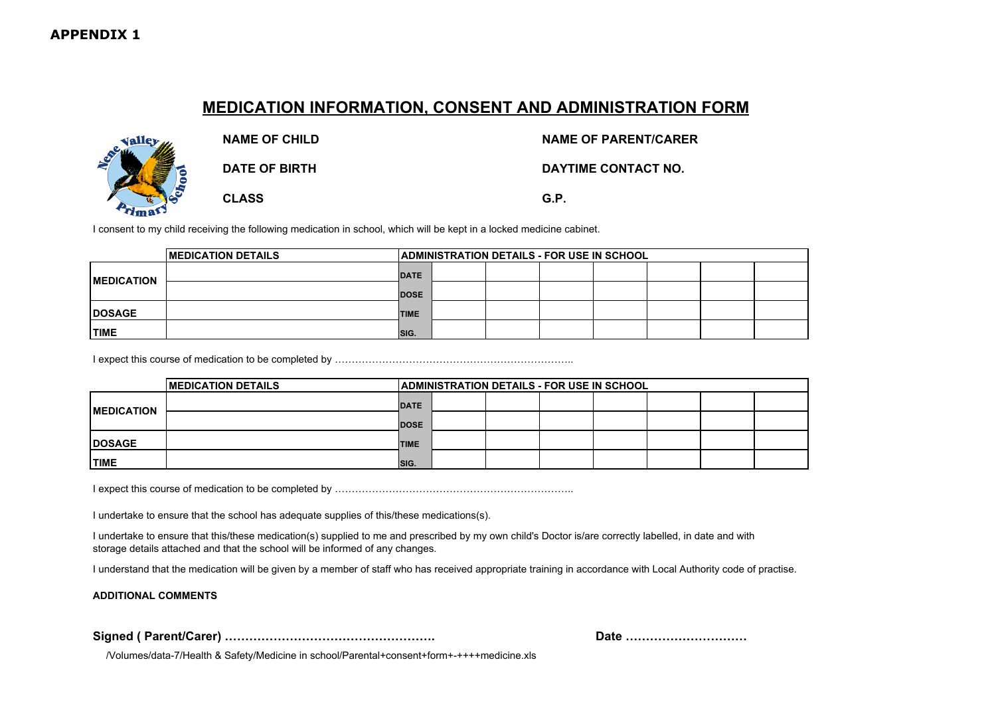# **MEDICATION INFORMATION, CONSENT AND ADMINISTRATION FORM**



**NAME OF CHILD NAME OF PARENT/CARER**

**DATE OF BIRTH DAYTIME CONTACT NO.**

**CLASS G.P.**

I consent to my child receiving the following medication in school, which will be kept in a locked medicine cabinet.

|                    | <b>IMEDICATION DETAILS</b> |             | ADMINISTRATION DETAILS - FOR USE IN SCHOOL |  |  |  |  |  |  |
|--------------------|----------------------------|-------------|--------------------------------------------|--|--|--|--|--|--|
| <b>IMEDICATION</b> |                            | <b>DATE</b> |                                            |  |  |  |  |  |  |
|                    |                            | <b>DOSE</b> |                                            |  |  |  |  |  |  |
| <b>IDOSAGE</b>     |                            | <b>TIME</b> |                                            |  |  |  |  |  |  |
| <b>TIME</b>        |                            | SIG.        |                                            |  |  |  |  |  |  |

I expect this course of medication to be completed by ……………………………………………………………..

|                   | <b>IMEDICATION DETAILS</b> |             | <b>ADMINISTRATION DETAILS - FOR USE IN SCHOOL</b> |  |  |  |  |  |  |  |  |
|-------------------|----------------------------|-------------|---------------------------------------------------|--|--|--|--|--|--|--|--|
| <b>MEDICATION</b> |                            | <b>DATE</b> |                                                   |  |  |  |  |  |  |  |  |
|                   |                            | <b>DOSE</b> |                                                   |  |  |  |  |  |  |  |  |
| <b>DOSAGE</b>     |                            | <b>TIME</b> |                                                   |  |  |  |  |  |  |  |  |
| <b>TIME</b>       |                            | ISIG.       |                                                   |  |  |  |  |  |  |  |  |

I expect this course of medication to be completed by ……………………………………………………………..

I undertake to ensure that the school has adequate supplies of this/these medications(s).

I undertake to ensure that this/these medication(s) supplied to me and prescribed by my own child's Doctor is/are correctly labelled, in date and with storage details attached and that the school will be informed of any changes.

I understand that the medication will be given by a member of staff who has received appropriate training in accordance with Local Authority code of practise.

**ADDITIONAL COMMENTS** 

**Signed ( Parent/Carer) ……………………………………………. Date …………………………**

/Volumes/data-7/Health & Safety/Medicine in school/Parental+consent+form+-++++medicine.xls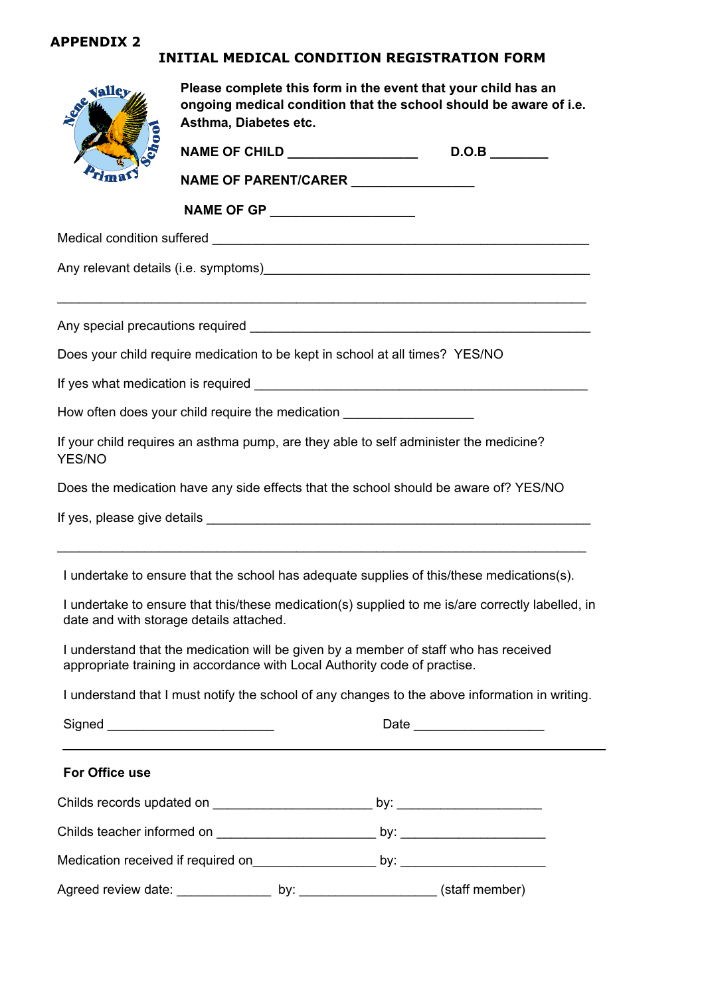#### **INITIAL MEDICAL CONDITION REGISTRATION FORM Medical Information Form**

| valley         | Please complete this form in the event that your child has an<br>ongoing medical condition that the school should be aware of i.e.<br>Asthma, Diabetes etc. |                                                                                  |                                                                                                  |  |  |  |  |  |  |  |
|----------------|-------------------------------------------------------------------------------------------------------------------------------------------------------------|----------------------------------------------------------------------------------|--------------------------------------------------------------------------------------------------|--|--|--|--|--|--|--|
|                | NAME OF CHILD _________________                                                                                                                             | D.O.B                                                                            |                                                                                                  |  |  |  |  |  |  |  |
|                | NAME OF PARENT/CARER ________________                                                                                                                       |                                                                                  |                                                                                                  |  |  |  |  |  |  |  |
|                |                                                                                                                                                             | NAME OF GP ____________________                                                  |                                                                                                  |  |  |  |  |  |  |  |
|                |                                                                                                                                                             |                                                                                  |                                                                                                  |  |  |  |  |  |  |  |
|                |                                                                                                                                                             |                                                                                  |                                                                                                  |  |  |  |  |  |  |  |
|                |                                                                                                                                                             |                                                                                  |                                                                                                  |  |  |  |  |  |  |  |
|                |                                                                                                                                                             | Does your child require medication to be kept in school at all times? YES/NO     |                                                                                                  |  |  |  |  |  |  |  |
|                |                                                                                                                                                             |                                                                                  |                                                                                                  |  |  |  |  |  |  |  |
|                |                                                                                                                                                             | How often does your child require the medication _______________________________ |                                                                                                  |  |  |  |  |  |  |  |
| YES/NO         |                                                                                                                                                             |                                                                                  | If your child requires an asthma pump, are they able to self administer the medicine?            |  |  |  |  |  |  |  |
|                |                                                                                                                                                             |                                                                                  | Does the medication have any side effects that the school should be aware of? YES/NO             |  |  |  |  |  |  |  |
|                |                                                                                                                                                             |                                                                                  |                                                                                                  |  |  |  |  |  |  |  |
|                |                                                                                                                                                             |                                                                                  | I undertake to ensure that the school has adequate supplies of this/these medications(s).        |  |  |  |  |  |  |  |
|                | date and with storage details attached.                                                                                                                     |                                                                                  | I undertake to ensure that this/these medication(s) supplied to me is/are correctly labelled, in |  |  |  |  |  |  |  |
|                |                                                                                                                                                             | appropriate training in accordance with Local Authority code of practise.        | I understand that the medication will be given by a member of staff who has received             |  |  |  |  |  |  |  |
|                |                                                                                                                                                             |                                                                                  | I understand that I must notify the school of any changes to the above information in writing.   |  |  |  |  |  |  |  |
|                |                                                                                                                                                             |                                                                                  | Date _______________________                                                                     |  |  |  |  |  |  |  |
| For Office use |                                                                                                                                                             |                                                                                  |                                                                                                  |  |  |  |  |  |  |  |
|                |                                                                                                                                                             |                                                                                  |                                                                                                  |  |  |  |  |  |  |  |
|                |                                                                                                                                                             |                                                                                  |                                                                                                  |  |  |  |  |  |  |  |
|                |                                                                                                                                                             |                                                                                  | Medication received if required on entitled by: http://www.com/community.com/community/          |  |  |  |  |  |  |  |
|                |                                                                                                                                                             |                                                                                  |                                                                                                  |  |  |  |  |  |  |  |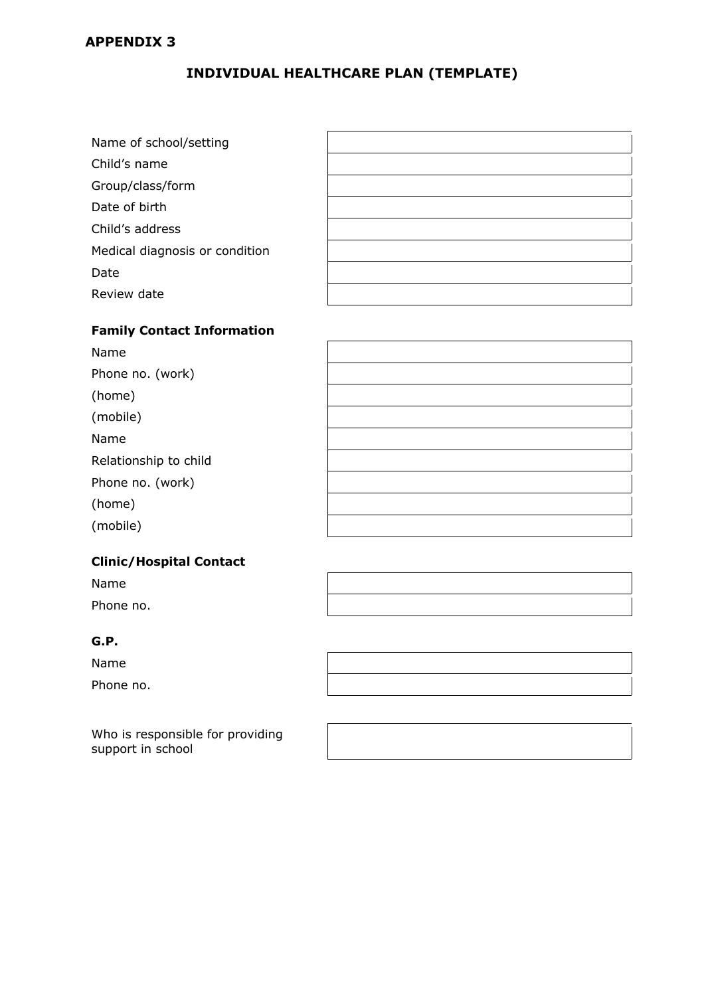# **INDIVIDUAL HEALTHCARE PLAN (TEMPLATE)**

| Name of school/setting         |  |
|--------------------------------|--|
| Child's name                   |  |
| Group/class/form               |  |
| Date of birth                  |  |
| Child's address                |  |
| Medical diagnosis or condition |  |
| Date                           |  |
| Review date                    |  |

### **Family Contact Information**

| Name                  |  |
|-----------------------|--|
| Phone no. (work)      |  |
| (home)                |  |
| (mobile)              |  |
| Name                  |  |
| Relationship to child |  |
| Phone no. (work)      |  |
| (home)                |  |
| (mobile)              |  |

 $\mathsf{r}$ 

### **Clinic/Hospital Contact**

| Name      |  |
|-----------|--|
| Phone no. |  |

# **G.P.**

Name

Phone no.

Who is responsible for providing support in school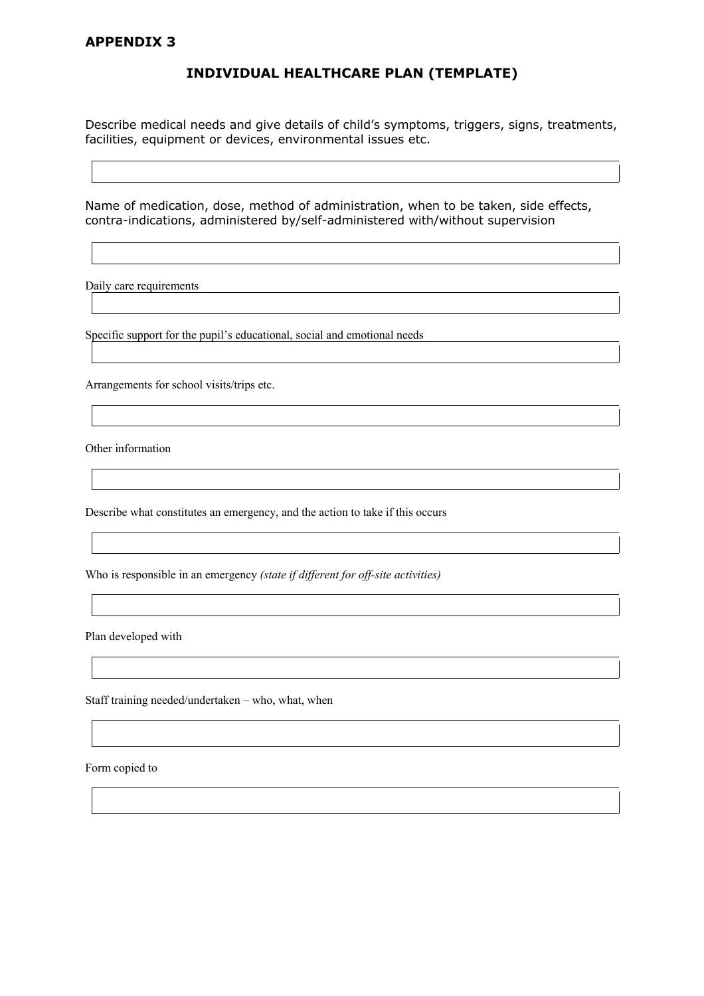#### **INDIVIDUAL HEALTHCARE PLAN (TEMPLATE)**

Describe medical needs and give details of child's symptoms, triggers, signs, treatments, facilities, equipment or devices, environmental issues etc.

Name of medication, dose, method of administration, when to be taken, side effects, contra-indications, administered by/self-administered with/without supervision

Daily care requirements

Specific support for the pupil's educational, social and emotional needs

Arrangements for school visits/trips etc.

Other information

Describe what constitutes an emergency, and the action to take if this occurs

Who is responsible in an emergency *(state if different for off-site activities)*

Plan developed with

Staff training needed/undertaken – who, what, when

Form copied to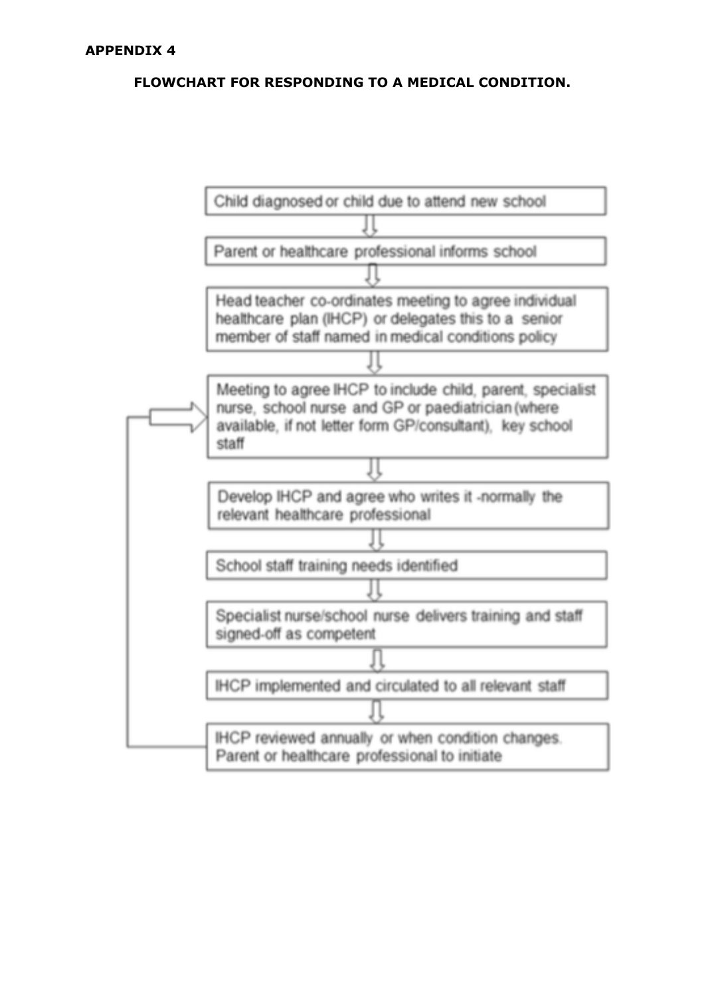# **FLOWCHART FOR RESPONDING TO A MEDICAL CONDITION.**

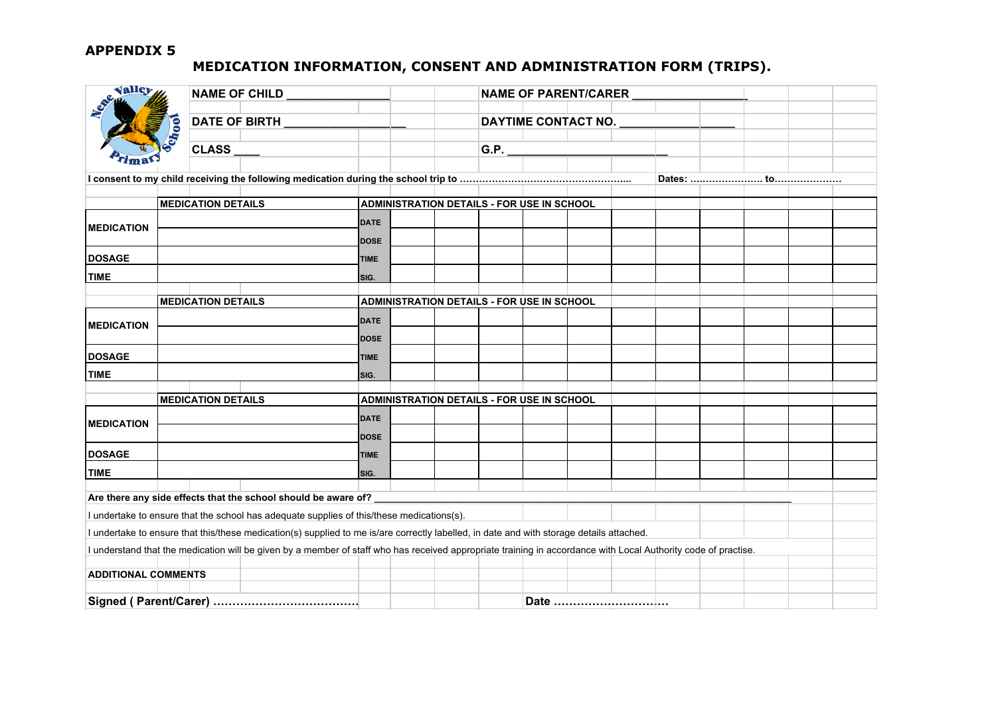# **MEDICATION INFORMATION, CONSENT AND ADMINISTRATION FORM (TRIPS).**

| Valley<br>NAME OF CHILD __________ |  |                           |                                                                                                                                                                |             |                                                   | NAME OF PARENT/CARER |  |                     |  |  |  |  |  |  |
|------------------------------------|--|---------------------------|----------------------------------------------------------------------------------------------------------------------------------------------------------------|-------------|---------------------------------------------------|----------------------|--|---------------------|--|--|--|--|--|--|
|                                    |  |                           |                                                                                                                                                                |             |                                                   |                      |  | DAYTIME CONTACT NO. |  |  |  |  |  |  |
| Chool                              |  |                           |                                                                                                                                                                |             |                                                   |                      |  |                     |  |  |  |  |  |  |
|                                    |  | <b>CLASS</b>              |                                                                                                                                                                |             |                                                   |                      |  |                     |  |  |  |  |  |  |
|                                    |  |                           |                                                                                                                                                                |             |                                                   |                      |  |                     |  |  |  |  |  |  |
|                                    |  |                           |                                                                                                                                                                |             |                                                   |                      |  |                     |  |  |  |  |  |  |
|                                    |  | <b>MEDICATION DETAILS</b> |                                                                                                                                                                |             | <b>ADMINISTRATION DETAILS - FOR USE IN SCHOOL</b> |                      |  |                     |  |  |  |  |  |  |
|                                    |  |                           |                                                                                                                                                                | <b>DATE</b> |                                                   |                      |  |                     |  |  |  |  |  |  |
| <b>MEDICATION</b>                  |  |                           |                                                                                                                                                                | <b>DOSE</b> |                                                   |                      |  |                     |  |  |  |  |  |  |
| <b>DOSAGE</b>                      |  |                           |                                                                                                                                                                | <b>TIME</b> |                                                   |                      |  |                     |  |  |  |  |  |  |
| <b>TIME</b>                        |  |                           |                                                                                                                                                                | SIG.        |                                                   |                      |  |                     |  |  |  |  |  |  |
|                                    |  |                           |                                                                                                                                                                |             |                                                   |                      |  |                     |  |  |  |  |  |  |
|                                    |  | <b>MEDICATION DETAILS</b> |                                                                                                                                                                |             | ADMINISTRATION DETAILS - FOR USE IN SCHOOL        |                      |  |                     |  |  |  |  |  |  |
| <b>MEDICATION</b>                  |  |                           |                                                                                                                                                                | <b>DATE</b> |                                                   |                      |  |                     |  |  |  |  |  |  |
|                                    |  |                           |                                                                                                                                                                | <b>DOSE</b> |                                                   |                      |  |                     |  |  |  |  |  |  |
| <b>DOSAGE</b>                      |  |                           |                                                                                                                                                                | <b>TIME</b> |                                                   |                      |  |                     |  |  |  |  |  |  |
| <b>TIME</b>                        |  |                           |                                                                                                                                                                | SIG.        |                                                   |                      |  |                     |  |  |  |  |  |  |
|                                    |  | <b>MEDICATION DETAILS</b> |                                                                                                                                                                |             |                                                   |                      |  |                     |  |  |  |  |  |  |
|                                    |  |                           |                                                                                                                                                                |             | ADMINISTRATION DETAILS - FOR USE IN SCHOOL        |                      |  |                     |  |  |  |  |  |  |
| <b>MEDICATION</b>                  |  |                           |                                                                                                                                                                | <b>DATE</b> |                                                   |                      |  |                     |  |  |  |  |  |  |
|                                    |  |                           |                                                                                                                                                                | <b>DOSE</b> |                                                   |                      |  |                     |  |  |  |  |  |  |
| <b>DOSAGE</b>                      |  |                           |                                                                                                                                                                | <b>TIME</b> |                                                   |                      |  |                     |  |  |  |  |  |  |
| <b>TIME</b>                        |  |                           |                                                                                                                                                                | SIG.        |                                                   |                      |  |                     |  |  |  |  |  |  |
|                                    |  |                           | Are there any side effects that the school should be aware of?                                                                                                 |             |                                                   |                      |  |                     |  |  |  |  |  |  |
|                                    |  |                           | I undertake to ensure that the school has adequate supplies of this/these medications(s).                                                                      |             |                                                   |                      |  |                     |  |  |  |  |  |  |
|                                    |  |                           | I undertake to ensure that this/these medication(s) supplied to me is/are correctly labelled, in date and with storage details attached.                       |             |                                                   |                      |  |                     |  |  |  |  |  |  |
|                                    |  |                           | I understand that the medication will be given by a member of staff who has received appropriate training in accordance with Local Authority code of practise. |             |                                                   |                      |  |                     |  |  |  |  |  |  |
| <b>ADDITIONAL COMMENTS</b>         |  |                           |                                                                                                                                                                |             |                                                   |                      |  |                     |  |  |  |  |  |  |
|                                    |  |                           |                                                                                                                                                                |             |                                                   |                      |  |                     |  |  |  |  |  |  |
|                                    |  |                           |                                                                                                                                                                |             |                                                   |                      |  |                     |  |  |  |  |  |  |